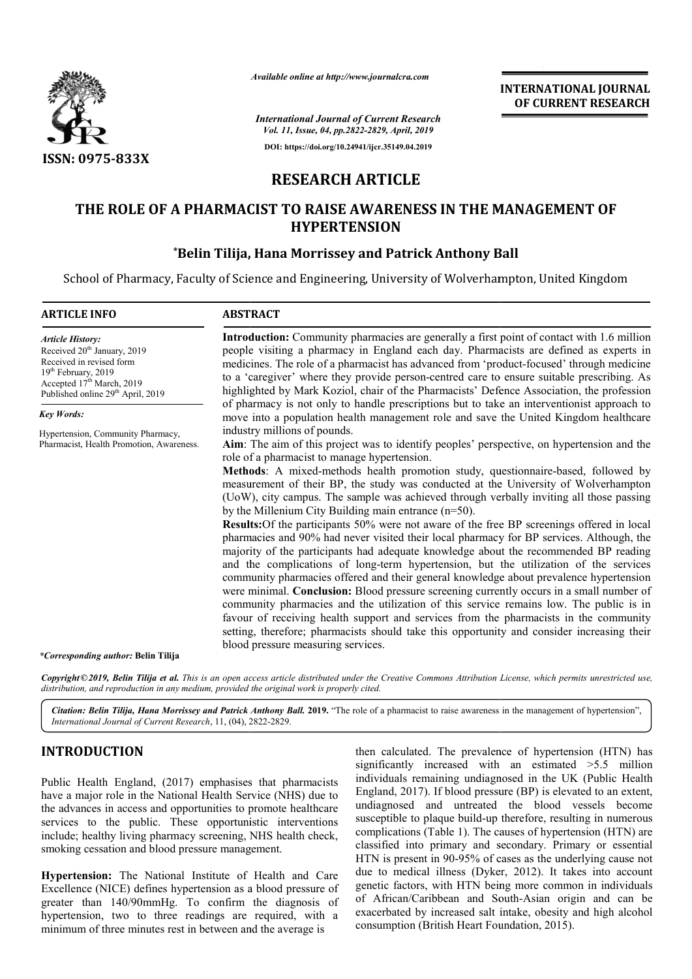

*Available online at http://www.journalcra.com*

## **RESEARCH ARTICLE**

## **THE ROLE OF A PHARMACIST TO RAISE AWARENESS IN THE MANAGEMENT OF HYPERTENSION**

## **\*Belin Tilija, Hana Morrissey and Patrick Anthony Ball Belin Anthony Ball**

|                                                                                                                                                                                                                                                                                                                                                                                |                                                                                    | <b>INTERNATIONAL JOURNAL</b><br>OF CURRENT RESEARCH                                                                                                                                                                                                                                                                                                                                                                                                                                                                                                                                                                                                                                                                                                                                                                                                                                                                                                                                                                                                                                                                                                                                                                                                                           |
|--------------------------------------------------------------------------------------------------------------------------------------------------------------------------------------------------------------------------------------------------------------------------------------------------------------------------------------------------------------------------------|------------------------------------------------------------------------------------|-------------------------------------------------------------------------------------------------------------------------------------------------------------------------------------------------------------------------------------------------------------------------------------------------------------------------------------------------------------------------------------------------------------------------------------------------------------------------------------------------------------------------------------------------------------------------------------------------------------------------------------------------------------------------------------------------------------------------------------------------------------------------------------------------------------------------------------------------------------------------------------------------------------------------------------------------------------------------------------------------------------------------------------------------------------------------------------------------------------------------------------------------------------------------------------------------------------------------------------------------------------------------------|
|                                                                                                                                                                                                                                                                                                                                                                                |                                                                                    | <b>International Journal of Current Research</b><br>Vol. 11, Issue, 04, pp.2822-2829, April, 2019                                                                                                                                                                                                                                                                                                                                                                                                                                                                                                                                                                                                                                                                                                                                                                                                                                                                                                                                                                                                                                                                                                                                                                             |
|                                                                                                                                                                                                                                                                                                                                                                                |                                                                                    | DOI: https://doi.org/10.24941/ijcr.35149.04.2019                                                                                                                                                                                                                                                                                                                                                                                                                                                                                                                                                                                                                                                                                                                                                                                                                                                                                                                                                                                                                                                                                                                                                                                                                              |
| ISSN: 0975-833X                                                                                                                                                                                                                                                                                                                                                                |                                                                                    |                                                                                                                                                                                                                                                                                                                                                                                                                                                                                                                                                                                                                                                                                                                                                                                                                                                                                                                                                                                                                                                                                                                                                                                                                                                                               |
|                                                                                                                                                                                                                                                                                                                                                                                | <b>RESEARCH ARTICLE</b>                                                            |                                                                                                                                                                                                                                                                                                                                                                                                                                                                                                                                                                                                                                                                                                                                                                                                                                                                                                                                                                                                                                                                                                                                                                                                                                                                               |
|                                                                                                                                                                                                                                                                                                                                                                                | <b>HYPERTENSION</b>                                                                | THE ROLE OF A PHARMACIST TO RAISE AWARENESS IN THE MANAGEMENT OF                                                                                                                                                                                                                                                                                                                                                                                                                                                                                                                                                                                                                                                                                                                                                                                                                                                                                                                                                                                                                                                                                                                                                                                                              |
|                                                                                                                                                                                                                                                                                                                                                                                |                                                                                    | *Belin Tilija, Hana Morrissey and Patrick Anthony Ball                                                                                                                                                                                                                                                                                                                                                                                                                                                                                                                                                                                                                                                                                                                                                                                                                                                                                                                                                                                                                                                                                                                                                                                                                        |
|                                                                                                                                                                                                                                                                                                                                                                                |                                                                                    | School of Pharmacy, Faculty of Science and Engineering, University of Wolverhampton, United Kingdom                                                                                                                                                                                                                                                                                                                                                                                                                                                                                                                                                                                                                                                                                                                                                                                                                                                                                                                                                                                                                                                                                                                                                                           |
| <b>ARTICLE INFO</b>                                                                                                                                                                                                                                                                                                                                                            | <b>ABSTRACT</b>                                                                    |                                                                                                                                                                                                                                                                                                                                                                                                                                                                                                                                                                                                                                                                                                                                                                                                                                                                                                                                                                                                                                                                                                                                                                                                                                                                               |
| <b>Article History:</b><br>Received 20 <sup>th</sup> January, 2019<br>Received in revised form<br>19th February, 2019<br>Accepted 17 <sup>th</sup> March, 2019<br>Published online 29 <sup>th</sup> April, 2019                                                                                                                                                                |                                                                                    | Introduction: Community pharmacies are generally a first point of contact with 1.6 million<br>people visiting a pharmacy in England each day. Pharmacists are defined as experts in<br>medicines. The role of a pharmacist has advanced from 'product-focused' through medicine<br>to a 'caregiver' where they provide person-centred care to ensure suitable prescribing. As<br>highlighted by Mark Koziol, chair of the Pharmacists' Defence Association, the profession<br>of pharmacy is not only to handle prescriptions but to take an interventionist approach to                                                                                                                                                                                                                                                                                                                                                                                                                                                                                                                                                                                                                                                                                                      |
| <b>Key Words:</b>                                                                                                                                                                                                                                                                                                                                                              | industry millions of pounds.                                                       | move into a population health management role and save the United Kingdom healthcare                                                                                                                                                                                                                                                                                                                                                                                                                                                                                                                                                                                                                                                                                                                                                                                                                                                                                                                                                                                                                                                                                                                                                                                          |
| Hypertension, Community Pharmacy,<br>Pharmacist, Health Promotion, Awareness.                                                                                                                                                                                                                                                                                                  | role of a pharmacist to manage hypertension.<br>blood pressure measuring services. | Aim: The aim of this project was to identify peoples' perspective, on hypertension and the<br>Methods: A mixed-methods health promotion study, questionnaire-based, followed by<br>measurement of their BP, the study was conducted at the University of Wolverhampton<br>(UoW), city campus. The sample was achieved through verbally inviting all those passing<br>by the Millenium City Building main entrance $(n=50)$ .<br>Results: Of the participants 50% were not aware of the free BP screenings offered in local<br>pharmacies and 90% had never visited their local pharmacy for BP services. Although, the<br>majority of the participants had adequate knowledge about the recommended BP reading<br>and the complications of long-term hypertension, but the utilization of the services<br>community pharmacies offered and their general knowledge about prevalence hypertension<br>were minimal. Conclusion: Blood pressure screening currently occurs in a small number of<br>community pharmacies and the utilization of this service remains low. The public is in<br>favour of receiving health support and services from the pharmacists in the community<br>setting, therefore; pharmacists should take this opportunity and consider increasing their |
| <i>*Corresponding author: Belin Tilija</i>                                                                                                                                                                                                                                                                                                                                     |                                                                                    |                                                                                                                                                                                                                                                                                                                                                                                                                                                                                                                                                                                                                                                                                                                                                                                                                                                                                                                                                                                                                                                                                                                                                                                                                                                                               |
| distribution, and reproduction in any medium, provided the original work is properly cited.                                                                                                                                                                                                                                                                                    |                                                                                    | Copyright©2019, Belin Tilija et al. This is an open access article distributed under the Creative Commons Attribution License, which permits unrestricted use,                                                                                                                                                                                                                                                                                                                                                                                                                                                                                                                                                                                                                                                                                                                                                                                                                                                                                                                                                                                                                                                                                                                |
| International Journal of Current Research, 11, (04), 2822-2829.                                                                                                                                                                                                                                                                                                                |                                                                                    | Citation: Belin Tilija, Hana Morrissey and Patrick Anthony Ball. 2019. "The role of a pharmacist to raise awareness in the management of hypertension",                                                                                                                                                                                                                                                                                                                                                                                                                                                                                                                                                                                                                                                                                                                                                                                                                                                                                                                                                                                                                                                                                                                       |
| <b>INTRODUCTION</b>                                                                                                                                                                                                                                                                                                                                                            |                                                                                    | then calculated. The prevalence of hypertension (HTN) has                                                                                                                                                                                                                                                                                                                                                                                                                                                                                                                                                                                                                                                                                                                                                                                                                                                                                                                                                                                                                                                                                                                                                                                                                     |
| Public Health England, (2017) emphasises that pharmacists<br>have a major role in the National Health Service (NHS) due to<br>the advances in access and opportunities to promote healthcare<br>services to the public. These opportunistic interventions<br>include; healthy living pharmacy screening, NHS health check,<br>smoking cessation and blood pressure management. |                                                                                    | significantly increased with an estimated >5.5 million<br>individuals remaining undiagnosed in the UK (Public Health<br>England, 2017). If blood pressure (BP) is elevated to an extent,<br>undiagnosed and untreated the blood vessels become<br>susceptible to plaque build-up therefore, resulting in numerous<br>complications (Table 1). The causes of hypertension (HTN) are<br>classified into primary and secondary. Primary or essential<br>HTN is present in 90-95% of cases as the underlying cause not                                                                                                                                                                                                                                                                                                                                                                                                                                                                                                                                                                                                                                                                                                                                                            |
| Hypertension: The National Institute of Health and Care<br>Excellence (NICE) defines hypertension as a blood pressure of<br>greater than 140/90mmHg. To confirm the diagnosis of<br>hypertension, two to three readings are required, with a<br>minimum of three minutes rest in between and the average is                                                                    |                                                                                    | due to medical illness (Dyker, 2012). It takes into account<br>genetic factors, with HTN being more common in individuals<br>of African/Caribbean and South-Asian origin and can be<br>exacerbated by increased salt intake, obesity and high alcohol<br>consumption (British Heart Foundation, 2015).                                                                                                                                                                                                                                                                                                                                                                                                                                                                                                                                                                                                                                                                                                                                                                                                                                                                                                                                                                        |

## **INTRODUCTION**

**Hypertension:** The National Institute of Health and Care Excellence (NICE) defines hypertension as a blood pressure of greater than 140/90mmHg. To confirm the diagnosis of hypertension, two to three readings are required, with a minimum of three minutes rest in between and the average is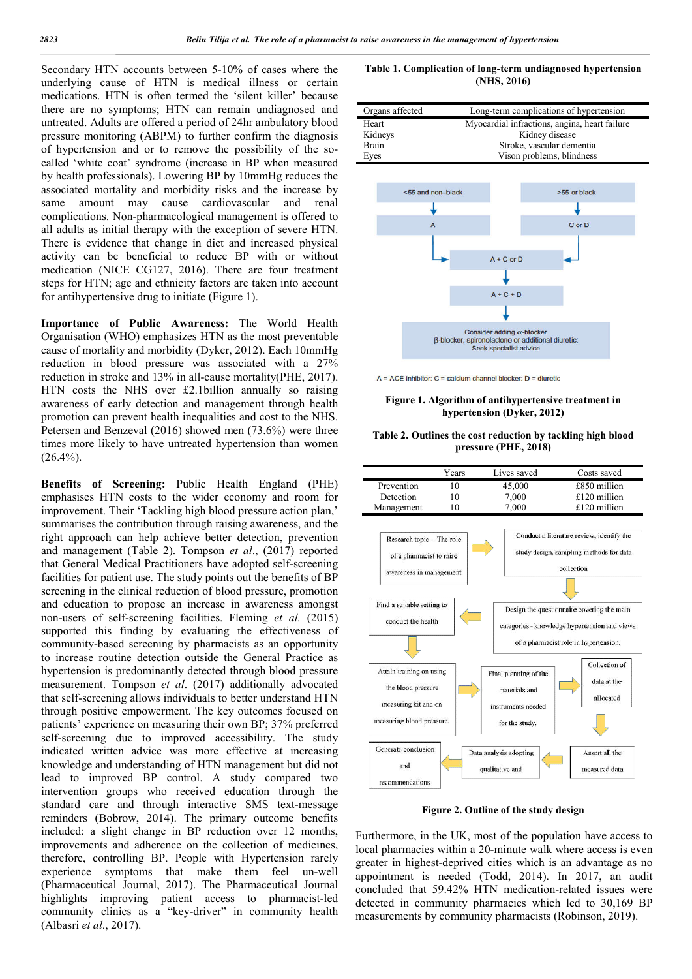Secondary HTN accounts between 5-10% of cases where the underlying cause of HTN is medical illness or certain medications. HTN is often termed the 'silent killer' because there are no symptoms; HTN can remain undiagnosed and untreated. Adults are offered a period of 24hr ambulatory blood pressure monitoring (ABPM) to further confirm the diagnosis of hypertension and or to remove the possibility of the so called 'white coat' syndrome (increase in BP when measured by health professionals). Lowering BP by 10mmHg reduces the associated mortality and morbidity risks and the increase by same amount may cause cardiovascular and renal complications. Non-pharmacological management is offered to all adults as initial therapy with the exception of severe HTN. There is evidence that change in diet and increased physical activity can be beneficial to reduce BP with or without medication (NICE CG127, 2016). There are four treatment steps for HTN; age and ethnicity factors are taken into account for antihypertensive drug to initiate (Figure 1). 1 5-10% of cases where the<br>
medical illness or certain<br>
1 the 'silent killer' because<br>
n remain undiagnosed and<br>
and of 24hr ambulatory blood<br>
urther confirm the diagnosis<br>
e the possibility of the so-

**Importance of Public Awareness:** The World Health Organisation (WHO) emphasizes HTN as the most preventable cause of mortality and morbidity (Dyker, 2012). Each 10mmHg reduction in blood pressure was associated with a 27% reduction in stroke and 13% in all-cause mortality(PHE, 2017). HTN costs the NHS over £2.1billion annually so raising awareness of early detection and management through health promotion can prevent health inequalities and cost to the NHS. Petersen and Benzeval (2016) showed men (73.6%) were three times more likely to have untreated hypertension than women  $(26.4\%)$ . 127, 2016). There are four treatment<br>ethnicity factors are taken into account<br>g to initiate (Figure 1).<br>ic **Awareness:** The World Health<br>pphasizes HTN as the most preventable<br>lorbidity (Dyker, 2012). Each 10mmHg<br>essure wa

**Benefits of Screening:** Public Health England (PHE) emphasises HTN costs to the wider economy and room for improvement. Their 'Tackling high blood pressure action plan,' summarises the contribution through raising awareness, and the right approach can help achieve better detection, prevention and management (Table 2). Tompson *et al* ., (2017) reported that General Medical Practitioners have adopted self self-screening facilities for patient use. The study points out the benefits of BP screening in the clinical reduction of blood pressure, promotion and education to propose an increase in awareness amongst non-users of self-screening facilities. Fleming et al. (2015) supported this finding by evaluating the effectiveness of community-based screening by pharmacists as an opportunity to increase routine detection outside the General Practice as hypertension is predominantly detected through blood pressure measurement. Tompson *et al*. (2017) additionally advocated that self-screening allows individuals to better understand HTN through positive empowerment. The key outcomes focused on patients' experience on measuring their own BP; 37% preferred self-screening due to improved accessibility. The study indicated written advice was more effective at increasing that self-screening allows individuals to better understand HTN<br>through positive empowerment. The key outcomes focused on<br>patients' experience on measuring their own BP; 37% preferred<br>self-screening due to improved accessi lead to improved BP control. A study compared two intervention groups who received education through the standard care and through interactive SMS text-message reminders (Bobrow, 2014). The primary outcome benefits included: a slight change in BP reduction over 12 months, improvements and adherence on the collection of medicines, therefore, controlling BP. People with Hypertension rarely experience symptoms that make them feel un-well (Pharmaceutical Journal, 2017). The Pharmaceutical Journal highlights improving patient access to pharmacist-led community clinics as a "key-driver" in community health (Albasri *et al*., 2017). era. S10% of cases where the **Table 1. Complication of long-**<br>
and model is illness or certain<br>
central cases to certain<br>
central cases in the signal cases of the simulation y blood and<br>
further confirm the diagnosis sche

**(NHS, 2016) 2016)**Table 1. Complication of long-term undiagnosed hypertension

| Long-term complications of hypertension       |
|-----------------------------------------------|
| Myocardial infractions, angina, heart failure |
| Kidney disease                                |
| Stroke, vascular dementia                     |
| Vison problems, blindness                     |
|                                               |



#### Figure 1. Algorithm of antihypertensive treatment in **hypertension (Dyker, 2012)**

# hypertension (Dyker, 2012)<br>Table 2. Outlines the cost reduction by tackling high blood **pressure (PHE, 2018)**



**Figure 2. Outline of the study design**

Furthermore, in the UK, most of the population have access to local pharmacies within a 20-minute walk where access is even greater in highest-deprived cities which is an advantage as no appointment is needed (Todd, 2014). In 2017, an audit concluded that 59.42% HTN medication-related issues were detected in community pharmacies which led to 30,169 BP measurements by community pharmacists (Robinson, 2019). Furthermore, in the UK, most of the population have access to local pharmacies within a 20-minute walk where access is even greater in highest-deprived cities which is an advantage as no appointment is needed (Todd, 2014).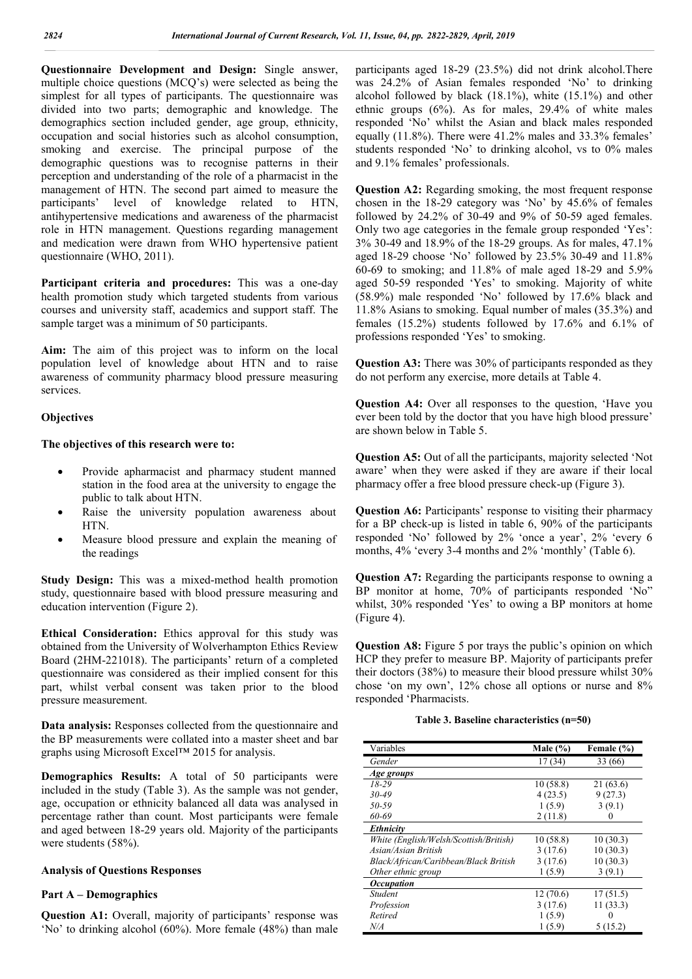**Questionnaire Development and Design:** Single answer, multiple choice questions (MCQ's) were selected as being the simplest for all types of participants. The questionnaire was divided into two parts; demographic and knowledge. The demographics section included gender, age group, ethnicity, occupation and social histories such as alcohol consumption, smoking and exercise. The principal purpose of the demographic questions was to recognise patterns in their perception and understanding of the role of a pharmacist in the management of HTN. The second part aimed to measure the participants' level of knowledge related to HTN, antihypertensive medications and awareness of the pharmacist role in HTN management. Questions regarding management and medication were drawn from WHO hypertensive patient questionnaire (WHO, 2011).

**Participant criteria and procedures:** This was a one-day health promotion study which targeted students from various courses and university staff, academics and support staff. The sample target was a minimum of 50 participants.

**Aim:** The aim of this project was to inform on the local population level of knowledge about HTN and to raise awareness of community pharmacy blood pressure measuring services.

#### **Objectives**

#### **The objectives of this research were to:**

- Provide apharmacist and pharmacy student manned station in the food area at the university to engage the public to talk about HTN.
- Raise the university population awareness about HTN.
- Measure blood pressure and explain the meaning of the readings

**Study Design:** This was a mixed-method health promotion study, questionnaire based with blood pressure measuring and education intervention (Figure 2).

**Ethical Consideration:** Ethics approval for this study was obtained from the University of Wolverhampton Ethics Review Board (2HM-221018). The participants' return of a completed questionnaire was considered as their implied consent for this part, whilst verbal consent was taken prior to the blood pressure measurement.

**Data analysis:** Responses collected from the questionnaire and the BP measurements were collated into a master sheet and bar graphs using Microsoft Excel™ 2015 for analysis.

**Demographics Results:** A total of 50 participants were included in the study (Table 3). As the sample was not gender, age, occupation or ethnicity balanced all data was analysed in percentage rather than count. Most participants were female and aged between 18-29 years old. Majority of the participants were students (58%).

#### **Analysis of Questions Responses**

#### **Part A – Demographics**

**Question A1:** Overall, majority of participants' response was 'No' to drinking alcohol (60%). More female (48%) than male

participants aged 18-29 (23.5%) did not drink alcohol.There was 24.2% of Asian females responded 'No' to drinking alcohol followed by black (18.1%), white (15.1%) and other ethnic groups  $(6\%)$ . As for males, 29.4% of white males responded 'No' whilst the Asian and black males responded equally (11.8%). There were 41.2% males and 33.3% females' students responded 'No' to drinking alcohol, vs to 0% males and 9.1% females' professionals.

**Question A2:** Regarding smoking, the most frequent response chosen in the 18-29 category was 'No' by 45.6% of females followed by 24.2% of 30-49 and 9% of 50-59 aged females. Only two age categories in the female group responded 'Yes': 3% 30-49 and 18.9% of the 18-29 groups. As for males, 47.1% aged 18-29 choose 'No' followed by 23.5% 30-49 and 11.8% 60-69 to smoking; and 11.8% of male aged 18-29 and 5.9% aged 50-59 responded 'Yes' to smoking. Majority of white (58.9%) male responded 'No' followed by 17.6% black and 11.8% Asians to smoking. Equal number of males (35.3%) and females (15.2%) students followed by 17.6% and 6.1% of professions responded 'Yes' to smoking.

**Question A3:** There was 30% of participants responded as they do not perform any exercise, more details at Table 4.

**Question A4:** Over all responses to the question, 'Have you ever been told by the doctor that you have high blood pressure' are shown below in Table 5.

**Question A5:** Out of all the participants, majority selected 'Not aware' when they were asked if they are aware if their local pharmacy offer a free blood pressure check-up (Figure 3).

Question A6: Participants' response to visiting their pharmacy for a BP check-up is listed in table 6, 90% of the participants responded 'No' followed by 2% 'once a year', 2% 'every 6 months, 4% 'every 3-4 months and 2% 'monthly' (Table 6).

**Question A7:** Regarding the participants response to owning a BP monitor at home, 70% of participants responded 'No" whilst, 30% responded 'Yes' to owing a BP monitors at home (Figure 4).

**Question A8:** Figure 5 por trays the public's opinion on which HCP they prefer to measure BP. Majority of participants prefer their doctors (38%) to measure their blood pressure whilst 30% chose 'on my own', 12% chose all options or nurse and 8% responded 'Pharmacists.

|  |  | Table 3. Baseline characteristics $(n=50)$ |  |
|--|--|--------------------------------------------|--|
|--|--|--------------------------------------------|--|

| Variables                              | Male $(\% )$ | Female (%) |
|----------------------------------------|--------------|------------|
| Gender                                 | 17(34)       | 33 (66)    |
| Age groups                             |              |            |
| $18-29$                                | 10(58.8)     | 21(63.6)   |
| $30 - 49$                              | 4(23.5)      | 9(27.3)    |
| 50-59                                  | 1(5.9)       | 3(9.1)     |
| 60-69                                  | 2(11.8)      | 0          |
| Ethnicity                              |              |            |
| White (English/Welsh/Scottish/British) | 10(58.8)     | 10(30.3)   |
| Asian/Asian British                    | 3(17.6)      | 10(30.3)   |
| Black/African/Caribbean/Black British  | 3(17.6)      | 10(30.3)   |
| Other ethnic group                     | 1(5.9)       | 3(9.1)     |
| <i><b>Occupation</b></i>               |              |            |
| Student                                | 12(70.6)     | 17(51.5)   |
| Profession                             | 3(17.6)      | 11(33.3)   |
| Retired                                | 1(5.9)       | $\theta$   |
| N/A                                    | 1(5.9)       | 5(15.2)    |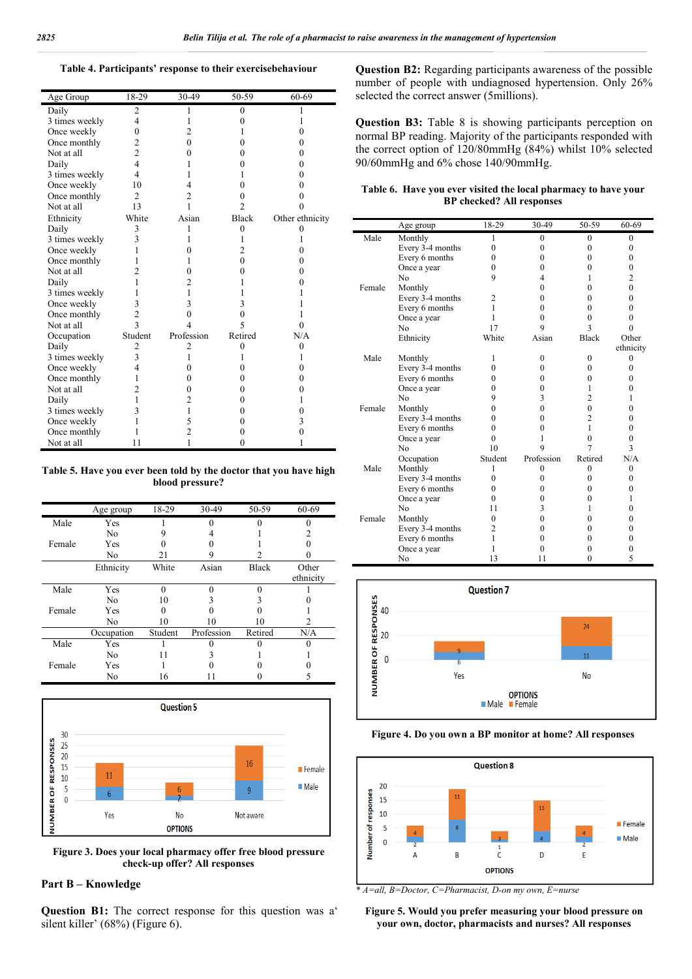#### **Table 4. Participants' response to their exercisebehaviour**

| Age Group      | 18-29                   | 30-49          | 50-59            | 60-69           |
|----------------|-------------------------|----------------|------------------|-----------------|
| Daily          | 2                       | ı              | $\boldsymbol{0}$ |                 |
| 3 times weekly | 4                       |                | 0                |                 |
| Once weekly    | $\theta$                | 2              | 1                |                 |
| Once monthly   | 2                       | 0              | 0                | 0               |
| Not at all     | $\overline{2}$          | 0              | 0                | 0               |
| Daily          | $\overline{4}$          |                | 0                | 0               |
| 3 times weekly | 4                       |                |                  | 0               |
| Once weekly    | 10                      | 4              | 0                | 0               |
| Once monthly   | $\overline{c}$          | $\overline{c}$ | 0                | 0               |
| Not at all     | 13                      | 1              | $\overline{2}$   |                 |
| Ethnicity      | White                   | Asian          | <b>Black</b>     | Other ethnicity |
| Daily          | 3                       | 1              | $\theta$         | 0               |
| 3 times weekly | 3                       |                | 1                |                 |
| Once weekly    | 1                       | 0              | $\overline{c}$   | 0               |
| Once monthly   | 1                       |                | $\theta$         | 0               |
| Not at all     | $\overline{c}$          | 0              | 0                | 0               |
| Daily          | 1                       | 2              |                  | 0               |
| 3 times weekly |                         |                |                  |                 |
| Once weekly    | 3                       | 3              | 3                |                 |
| Once monthly   | $\overline{2}$          | 0              | 0                |                 |
| Not at all     | $\overline{\mathbf{3}}$ | 4              | 5                |                 |
| Occupation     | Student                 | Profession     | Retired          | N/A             |
| Daily          | $\overline{c}$          | $\overline{c}$ | $\theta$         | $\theta$        |
| 3 times weekly | 3                       |                | 1                |                 |
| Once weekly    | $\overline{4}$          | 0              | 0                | 0               |
| Once monthly   | 1                       | 0              | 0                | 0               |
| Not at all     | $\overline{2}$          | 0              | 0                | 0               |
| Daily          | 1                       | 2              | $\theta$         | 1               |
| 3 times weekly | 3                       | 1              | 0                | 0               |
| Once weekly    | 1                       | 5              | 0                | 3               |
| Once monthly   |                         | $\overline{c}$ | 0                | 0               |
| Not at all     | 11                      | 1              | 0                |                 |

#### **Table 5. Have you ever been told by the doctor that you have high blood pressure?**

|        | Age group      | 18-29   | 30-49      | 50-59        | 60-69     |
|--------|----------------|---------|------------|--------------|-----------|
| Male   | Yes            |         |            |              |           |
|        | No             |         |            |              |           |
| Female | Yes            |         |            |              |           |
|        | N <sub>o</sub> | 21      | 9          |              |           |
|        | Ethnicity      | White   | Asian      | <b>Black</b> | Other     |
|        |                |         |            |              | ethnicity |
| Male   | Yes            |         | O          |              |           |
|        | No             | 10      |            |              |           |
| Female | Yes            |         |            |              |           |
|        | No             | 10      | 10         | 10           |           |
|        | Occupation     | Student | Profession | Retired      | N/A       |
| Male   | Yes            |         |            |              |           |
|        | No             |         |            |              |           |
| Female | Yes            |         |            |              |           |
|        | No             | 16      |            |              |           |



**Figure 3. Does your local pharmacy offer free blood pressure check-up offer? All responses**

#### **Part B – Knowledge**

**Question B1:** The correct response for this question was a' silent killer' (68%) (Figure 6).

**Question B2:** Regarding participants awareness of the possible number of people with undiagnosed hypertension. Only 26% selected the correct answer (5millions).

**Question B3:** Table 8 is showing participants perception on normal BP reading. Majority of the participants responded with the correct option of 120/80mmHg (84%) whilst 10% selected 90/60mmHg and 6% chose 140/90mmHg.

#### **Table 6. Have you ever visited the local pharmacy to have your BP checked? All responses**

|        | Age group        | 18-29            | 30-49        | 50-59        | 60-69            |
|--------|------------------|------------------|--------------|--------------|------------------|
| Male   | Monthly          | 1                | $\mathbf{0}$ | 0            | $\mathbf{0}$     |
|        | Every 3-4 months | $\theta$         | $\theta$     | $\theta$     | 0                |
|        | Every 6 months   | 0                | $\theta$     | $\theta$     | $\boldsymbol{0}$ |
|        | Once a year      | $\boldsymbol{0}$ | $\theta$     | 0            | $\boldsymbol{0}$ |
|        | No               | 9                | 4            | 1            | 2                |
| Female | Monthly          |                  | 0            | 0            | $\theta$         |
|        | Every 3-4 months | 2                | $\theta$     | 0            | $\theta$         |
|        | Every 6 months   | 1                | $\theta$     | $\theta$     | $\theta$         |
|        | Once a year      | 1                | $\theta$     | $\Omega$     | $\theta$         |
|        | N <sub>0</sub>   | 17               | 9            | 3            | $\theta$         |
|        | Ethnicity        | White            | Asian        | <b>Black</b> | Other            |
|        |                  |                  |              |              | ethnicity        |
| Male   | Monthly          | 1                | 0            | $\mathbf{0}$ | $\boldsymbol{0}$ |
|        | Every 3-4 months | 0                | $\theta$     | $\theta$     | $\Omega$         |
|        | Every 6 months   | 0                | $\Omega$     | $\Omega$     | 0                |
|        | Once a year      | 0                | $\Omega$     | 1            | 0                |
|        | No               | 9                | 3            | 2            | 1                |
| Female | Monthly          | 0                | $\Omega$     | $\theta$     | $\Omega$         |
|        | Every 3-4 months | 0                | 0            | 2            | 0                |
|        | Every 6 months   | 0                | $\theta$     | 1            | 0                |
|        | Once a year      | 0                | 1            | $\theta$     | 0                |
|        | No               | 10               | 9            |              | 3                |
|        | Occupation       | Student          | Profession   | Retired      | N/A              |
| Male   | Monthly          | 1                | 0            | 0            | $\Omega$         |
|        | Every 3-4 months | $\Omega$         | $\Omega$     | 0            | 0                |
|        | Every 6 months   | 0                | $\Omega$     | 0            | 0                |
|        | Once a year      | $\Omega$         | $\Omega$     | 0            | 1                |
|        | N <sub>0</sub>   | 11               | 3            | 1            | $\theta$         |
| Female | Monthly          | $\theta$         | 0            | 0            | 0                |
|        | Every 3-4 months | 2                | $\Omega$     | 0            | 0                |
|        | Every 6 months   | 1                | 0            | 0            | 0                |
|        | Once a year      | 1                | 0            | 0            | 0                |
|        | No               | 13               | 11           | $\theta$     | 5                |







*\* A=all, B=Doctor, C=Pharmacist, D-on my own, E=nurse*

**Figure 5. Would you prefer measuring your blood pressure on your own, doctor, pharmacists and nurses? All responses**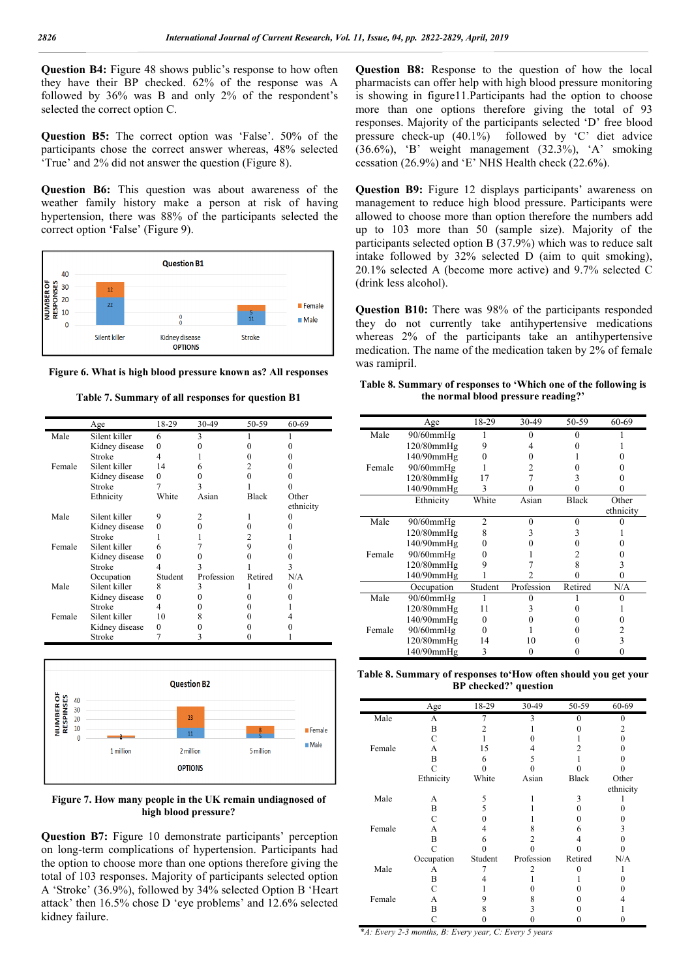**Question B4:** Figure 48 shows public's response to how often they have their BP checked. 62% of the response was A followed by 36% was B and only 2% of the respondent's selected the correct option C.

**Question B5:** The correct option was 'False'. 50% of the participants chose the correct answer whereas, 48% selected 'True' and 2% did not answer the question (Figure 8).

**Question B6:** This question was about awareness of the weather family history make a person at risk of having hypertension, there was 88% of the participants selected the correct option 'False' (Figure 9).



**Figure 6. What is high blood pressure known as? All responses**

**Table 7. Summary of all responses for question B1**

|        | Age            | 18-29   | 30-49      | 50-59        | 60-69     |
|--------|----------------|---------|------------|--------------|-----------|
| Male   | Silent killer  | 6       | 3          |              |           |
|        | Kidney disease | 0       |            |              |           |
|        | Stroke         | 4       |            |              |           |
| Female | Silent killer  | 14      | 6          |              |           |
|        | Kidney disease | 0       |            |              |           |
|        | Stroke         |         |            |              |           |
|        | Ethnicity      | White   | Asian      | <b>Black</b> | Other     |
|        |                |         |            |              | ethnicity |
| Male   | Silent killer  | 9       |            |              |           |
|        | Kidney disease | $_{0}$  |            |              |           |
|        | Stroke         |         |            |              |           |
| Female | Silent killer  | 6       |            | 9            |           |
|        | Kidney disease | 0       |            |              |           |
|        | Stroke         |         |            |              |           |
|        | Occupation     | Student | Profession | Retired      | N/A       |
| Male   | Silent killer  | 8       | 3          |              |           |
|        | Kidney disease | 0       |            |              |           |
|        | Stroke         | 4       |            |              |           |
| Female | Silent killer  | 10      | 8          |              |           |
|        | Kidney disease | 0       |            |              |           |
|        | Stroke         |         | 3          |              |           |



**Figure 7. How many people in the UK remain undiagnosed of high blood pressure?**

**Question B7:** Figure 10 demonstrate participants' perception on long-term complications of hypertension. Participants had the option to choose more than one options therefore giving the total of 103 responses. Majority of participants selected option A 'Stroke' (36.9%), followed by 34% selected Option B 'Heart attack' then 16.5% chose D 'eye problems' and 12.6% selected kidney failure.

**Question B8:** Response to the question of how the local pharmacists can offer help with high blood pressure monitoring is showing in figure11.Participants had the option to choose more than one options therefore giving the total of 93 responses. Majority of the participants selected 'D' free blood pressure check-up (40.1%) followed by 'C' diet advice  $(36.6\%)$ , 'B' weight management  $(32.3\%)$ , 'A' smoking cessation (26.9%) and 'E' NHS Health check (22.6%).

**Question B9:** Figure 12 displays participants' awareness on management to reduce high blood pressure. Participants were allowed to choose more than option therefore the numbers add up to 103 more than 50 (sample size). Majority of the participants selected option B (37.9%) which was to reduce salt intake followed by 32% selected D (aim to quit smoking), 20.1% selected A (become more active) and 9.7% selected C (drink less alcohol).

**Question B10:** There was 98% of the participants responded they do not currently take antihypertensive medications whereas 2% of the participants take an antihypertensive medication. The name of the medication taken by 2% of female was ramipril.

**Table 8. Summary of responses to 'Which one of the following is the normal blood pressure reading?'**

| 30-49<br>50-59<br>18-29<br>60-69<br>Age<br>Male<br>$90/60$ mm $Hg$<br>$120/80$ mm $Hg$<br>140/90mmHg<br>$90/60$ mm $Hg$<br>Female<br>120/80mmHg<br>17<br>3<br>140/90mmHg<br>3<br>White<br>Ethnicity<br><b>Black</b><br>Other<br>Asian<br>ethnicity<br>Male<br>$\mathfrak{D}$<br>$90/60$ mm $Hg$<br>$\Omega$<br>0<br>$120/80$ mm $Hg$<br>8<br>3<br>3<br>140/90mmHg<br>90/60mmHg<br>Female<br>120/80mmHg<br>8<br>3<br>140/90mmHg<br>0<br>Profession<br>Student<br>Retired<br>Occupation<br>N/A<br>Male<br>90/60mmHg<br>$120/80$ mm $Hg$<br>11<br>3<br>140/90mmHg<br>0<br>Female<br>90/60mmHg<br>2<br>3<br>$120/80$ mm $Hg$<br>14<br>10<br>140/90mmHg<br>3<br>0 |  |  |  |
|--------------------------------------------------------------------------------------------------------------------------------------------------------------------------------------------------------------------------------------------------------------------------------------------------------------------------------------------------------------------------------------------------------------------------------------------------------------------------------------------------------------------------------------------------------------------------------------------------------------------------------------------------------------|--|--|--|
|                                                                                                                                                                                                                                                                                                                                                                                                                                                                                                                                                                                                                                                              |  |  |  |
|                                                                                                                                                                                                                                                                                                                                                                                                                                                                                                                                                                                                                                                              |  |  |  |
|                                                                                                                                                                                                                                                                                                                                                                                                                                                                                                                                                                                                                                                              |  |  |  |
|                                                                                                                                                                                                                                                                                                                                                                                                                                                                                                                                                                                                                                                              |  |  |  |
|                                                                                                                                                                                                                                                                                                                                                                                                                                                                                                                                                                                                                                                              |  |  |  |
|                                                                                                                                                                                                                                                                                                                                                                                                                                                                                                                                                                                                                                                              |  |  |  |
|                                                                                                                                                                                                                                                                                                                                                                                                                                                                                                                                                                                                                                                              |  |  |  |
|                                                                                                                                                                                                                                                                                                                                                                                                                                                                                                                                                                                                                                                              |  |  |  |
|                                                                                                                                                                                                                                                                                                                                                                                                                                                                                                                                                                                                                                                              |  |  |  |
|                                                                                                                                                                                                                                                                                                                                                                                                                                                                                                                                                                                                                                                              |  |  |  |
|                                                                                                                                                                                                                                                                                                                                                                                                                                                                                                                                                                                                                                                              |  |  |  |
|                                                                                                                                                                                                                                                                                                                                                                                                                                                                                                                                                                                                                                                              |  |  |  |
|                                                                                                                                                                                                                                                                                                                                                                                                                                                                                                                                                                                                                                                              |  |  |  |
|                                                                                                                                                                                                                                                                                                                                                                                                                                                                                                                                                                                                                                                              |  |  |  |
|                                                                                                                                                                                                                                                                                                                                                                                                                                                                                                                                                                                                                                                              |  |  |  |
|                                                                                                                                                                                                                                                                                                                                                                                                                                                                                                                                                                                                                                                              |  |  |  |
|                                                                                                                                                                                                                                                                                                                                                                                                                                                                                                                                                                                                                                                              |  |  |  |
|                                                                                                                                                                                                                                                                                                                                                                                                                                                                                                                                                                                                                                                              |  |  |  |
|                                                                                                                                                                                                                                                                                                                                                                                                                                                                                                                                                                                                                                                              |  |  |  |
|                                                                                                                                                                                                                                                                                                                                                                                                                                                                                                                                                                                                                                                              |  |  |  |
|                                                                                                                                                                                                                                                                                                                                                                                                                                                                                                                                                                                                                                                              |  |  |  |
|                                                                                                                                                                                                                                                                                                                                                                                                                                                                                                                                                                                                                                                              |  |  |  |

**Table 8. Summary of responses to'How often should you get your BP checked?' question**

|        | Age        | 18-29   | 30-49      | 50-59        | 60-69     |
|--------|------------|---------|------------|--------------|-----------|
| Male   | A          | 7       | 3          | 0            | 0         |
|        | B          |         |            |              | 2         |
|        | C          |         |            |              | 0         |
| Female | А          | 15      | 4          |              |           |
|        | B          | 6       | 5          |              |           |
|        | C          |         |            |              |           |
|        | Ethnicity  | White   | Asian      | <b>Black</b> | Other     |
|        |            |         |            |              | ethnicity |
| Male   | А          | 5       |            | 3            |           |
|        | B          | 5       |            |              |           |
|        | C          |         |            |              |           |
| Female | A          | 4       | 8          | 6            | 3         |
|        | B          | 6       | 2          |              |           |
|        | C          |         |            |              |           |
|        | Occupation | Student | Profession | Retired      | N/A       |
| Male   | А          |         |            | 0            |           |
|        | В          |         |            |              |           |
|        | C          |         |            |              |           |
| Female | A          | 9       | 8          |              |           |
|        | В          | 8       |            |              |           |
|        | С          |         |            |              |           |

\**A: Every 2-3 months, B: Every year, C: Every 5 years*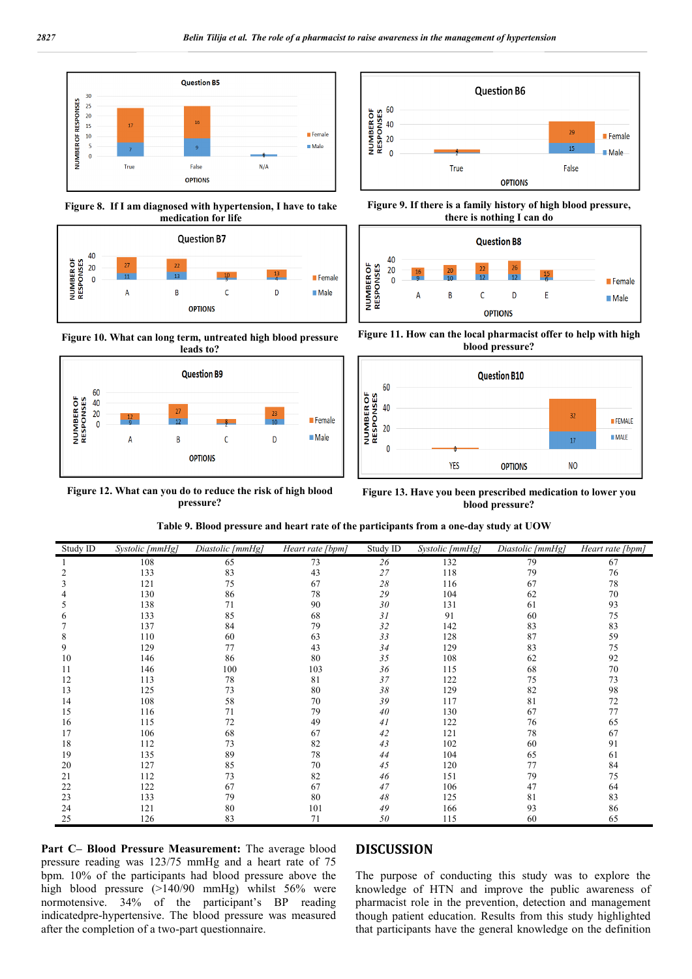

**Figure 8. If I am diagnosed with hypertension, I have to take medication for life**



**Figure 10. What can long term, untreated high blood pressure** 



**Figure 12. What can you do to reduce the risk of high blood pressure?**







**Figure 11. How can the local pharmacist offer to help with high blood pressure?**



**Figure 13. Have you been prescribed medication to lower you blood pressure?**

**Table 9. Blood pressure and heart rate of the participants from a one-day study at UOW**

| Study ID | Systolic [mmHg] | Diastolic [mmHg] | Heart rate [bpm] | Study ID       | Systolic [mmHg] | Diastolic [mmHg] | Heart rate [bpm] |
|----------|-----------------|------------------|------------------|----------------|-----------------|------------------|------------------|
|          | 108             | 65               | 73               | 26             | 132             | 79               | 67               |
|          | 133             | 83               | 43               | 27             | 118             | 79               | 76               |
|          | 121             | 75               | 67               | 28             | 116             | 67               | 78               |
|          | 130             | 86               | 78               | 29             | 104             | 62               | 70               |
|          | 138             | 71               | 90               | 30             | 131             | 61               | 93               |
|          | 133             | 85               | 68               | 31             | 91              | 60               | 75               |
|          | 137             | 84               | 79               | 32             | 142             | 83               | 83               |
| 8        | 110             | 60               | 63               | 33             | 128             | 87               | 59               |
| 9        | 129             | 77               | 43               | 34             | 129             | 83               | 75               |
| 10       | 146             | 86               | 80               | 35             | 108             | 62               | 92               |
| 11       | 146             | 100              | 103              | 36             | 115             | 68               | 70               |
| 12       | 113             | 78               | 81               | 37             | 122             | 75               | 73               |
| 13       | 125             | 73               | 80               | 38             | 129             | 82               | 98               |
| 14       | 108             | 58               | 70               | 39             | 117             | 81               | 72               |
| 15       | 116             | 71               | 79               | 40             | 130             | 67               | 77               |
| 16       | 115             | 72               | 49               | 41             | 122             | 76               | 65               |
| 17       | 106             | 68               | 67               | 42             | 121             | 78               | 67               |
| 18       | 112             | 73               | 82               | 4 <sub>3</sub> | 102             | 60               | 91               |
| 19       | 135             | 89               | 78               | 44             | 104             | 65               | 61               |
| 20       | 127             | 85               | 70               | 45             | 120             | 77               | 84               |
| 21       | 112             | 73               | 82               | 46             | 151             | 79               | 75               |
| 22       | 122             | 67               | 67               | 47             | 106             | 47               | 64               |
| 23       | 133             | 79               | 80               | 48             | 125             | 81               | 83               |
| 24       | 121             | 80               | 101              | 49             | 166             | 93               | 86               |
| 25       | 126             | 83               | 71               | 50             | 115             | 60               | 65               |

**Part C– Blood Pressure Measurement:** The average blood pressure reading was 123/75 mmHg and a heart rate of 75 bpm. 10% of the participants had blood pressure above the high blood pressure (>140/90 mmHg) whilst 56% were normotensive. 34% of the participant's BP reading indicatedpre-hypertensive. The blood pressure was measured after the completion of a two-part questionnaire.

#### **DISCUSSION**

The purpose of conducting this study was to explore the knowledge of HTN and improve the public awareness of pharmacist role in the prevention, detection and management though patient education. Results from this study highlighted that participants have the general knowledge on the definition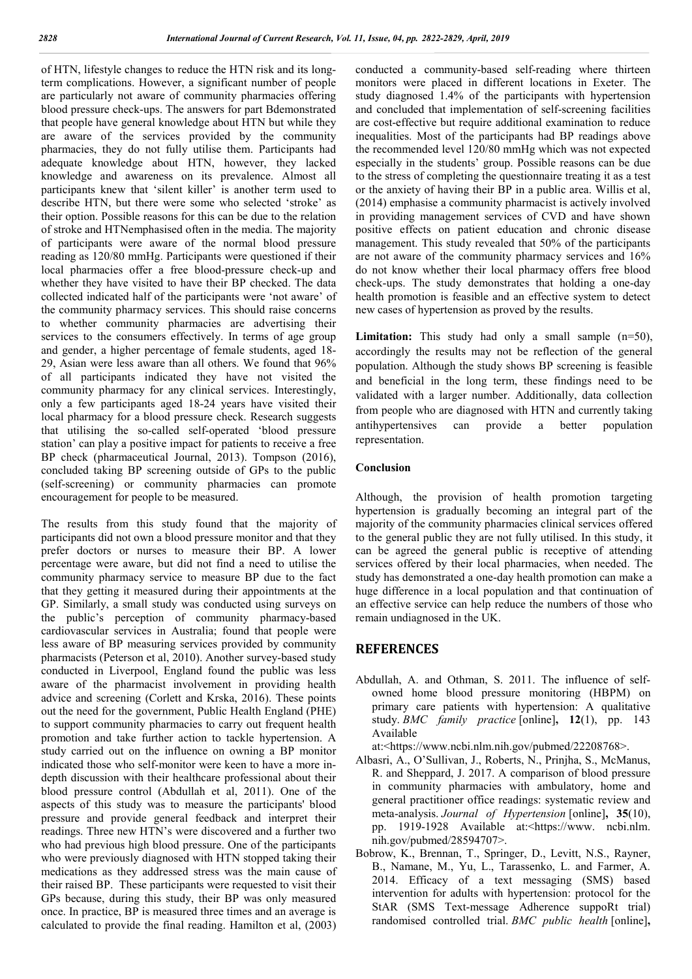of HTN, lifestyle changes to reduce the HTN risk and its longterm complications. However, a significant number of people are particularly not aware of community pharmacies offering blood pressure check-ups. The answers for part Bdemonstrated that people have general knowledge about HTN but while they are aware of the services provided by the community pharmacies, they do not fully utilise them. Participants had adequate knowledge about HTN, however, they lacked knowledge and awareness on its prevalence. Almost all participants knew that 'silent killer' is another term used to describe HTN, but there were some who selected 'stroke' as their option. Possible reasons for this can be due to the relation of stroke and HTNemphasised often in the media. The majority of participants were aware of the normal blood pressure reading as 120/80 mmHg. Participants were questioned if their local pharmacies offer a free blood-pressure check-up and whether they have visited to have their BP checked. The data collected indicated half of the participants were 'not aware' of the community pharmacy services. This should raise concerns to whether community pharmacies are advertising their services to the consumers effectively. In terms of age group and gender, a higher percentage of female students, aged 18- 29, Asian were less aware than all others. We found that 96% of all participants indicated they have not visited the community pharmacy for any clinical services. Interestingly, only a few participants aged 18-24 years have visited their local pharmacy for a blood pressure check. Research suggests that utilising the so-called self-operated 'blood pressure station' can play a positive impact for patients to receive a free BP check (pharmaceutical Journal, 2013). Tompson (2016), concluded taking BP screening outside of GPs to the public (self-screening) or community pharmacies can promote encouragement for people to be measured.

The results from this study found that the majority of participants did not own a blood pressure monitor and that they prefer doctors or nurses to measure their BP. A lower percentage were aware, but did not find a need to utilise the community pharmacy service to measure BP due to the fact that they getting it measured during their appointments at the GP. Similarly, a small study was conducted using surveys on the public's perception of community pharmacy-based cardiovascular services in Australia; found that people were less aware of BP measuring services provided by community pharmacists (Peterson et al, 2010). Another survey-based study conducted in Liverpool, England found the public was less aware of the pharmacist involvement in providing health advice and screening (Corlett and Krska, 2016). These points out the need for the government, Public Health England (PHE) to support community pharmacies to carry out frequent health promotion and take further action to tackle hypertension. A study carried out on the influence on owning a BP monitor indicated those who self-monitor were keen to have a more indepth discussion with their healthcare professional about their blood pressure control (Abdullah et al, 2011). One of the aspects of this study was to measure the participants' blood pressure and provide general feedback and interpret their readings. Three new HTN's were discovered and a further two who had previous high blood pressure. One of the participants who were previously diagnosed with HTN stopped taking their medications as they addressed stress was the main cause of their raised BP. These participants were requested to visit their GPs because, during this study, their BP was only measured once. In practice, BP is measured three times and an average is calculated to provide the final reading. Hamilton et al, (2003)

conducted a community-based self-reading where thirteen monitors were placed in different locations in Exeter. The study diagnosed 1.4% of the participants with hypertension and concluded that implementation of self-screening facilities are cost-effective but require additional examination to reduce inequalities. Most of the participants had BP readings above the recommended level 120/80 mmHg which was not expected especially in the students' group. Possible reasons can be due to the stress of completing the questionnaire treating it as a test or the anxiety of having their BP in a public area. Willis et al, (2014) emphasise a community pharmacist is actively involved in providing management services of CVD and have shown positive effects on patient education and chronic disease management. This study revealed that 50% of the participants are not aware of the community pharmacy services and 16% do not know whether their local pharmacy offers free blood check-ups. The study demonstrates that holding a one-day health promotion is feasible and an effective system to detect new cases of hypertension as proved by the results.

Limitation: This study had only a small sample (n=50), accordingly the results may not be reflection of the general population. Although the study shows BP screening is feasible and beneficial in the long term, these findings need to be validated with a larger number. Additionally, data collection from people who are diagnosed with HTN and currently taking antihypertensives can provide a better population representation.

#### **Conclusion**

Although, the provision of health promotion targeting hypertension is gradually becoming an integral part of the majority of the community pharmacies clinical services offered to the general public they are not fully utilised. In this study, it can be agreed the general public is receptive of attending services offered by their local pharmacies, when needed. The study has demonstrated a one-day health promotion can make a huge difference in a local population and that continuation of an effective service can help reduce the numbers of those who remain undiagnosed in the UK.

### **REFERENCES**

Abdullah, A. and Othman, S. 2011. The influence of selfowned home blood pressure monitoring (HBPM) on primary care patients with hypertension: A qualitative study. *BMC family practice* [online]**, 12**(1), pp. 143 Available

at:<https://www.ncbi.nlm.nih.gov/pubmed/22208768>.

- Albasri, A., O'Sullivan, J., Roberts, N., Prinjha, S., McManus, R. and Sheppard, J. 2017. A comparison of blood pressure in community pharmacies with ambulatory, home and general practitioner office readings: systematic review and meta-analysis. *Journal of Hypertension* [online]**, 35**(10), pp. 1919-1928 Available at:<https://www. ncbi.nlm. nih.gov/pubmed/28594707>.
- Bobrow, K., Brennan, T., Springer, D., Levitt, N.S., Rayner, B., Namane, M., Yu, L., Tarassenko, L. and Farmer, A. 2014. Efficacy of a text messaging (SMS) based intervention for adults with hypertension: protocol for the StAR (SMS Text-message Adherence suppoRt trial) randomised controlled trial. *BMC public health* [online]**,**